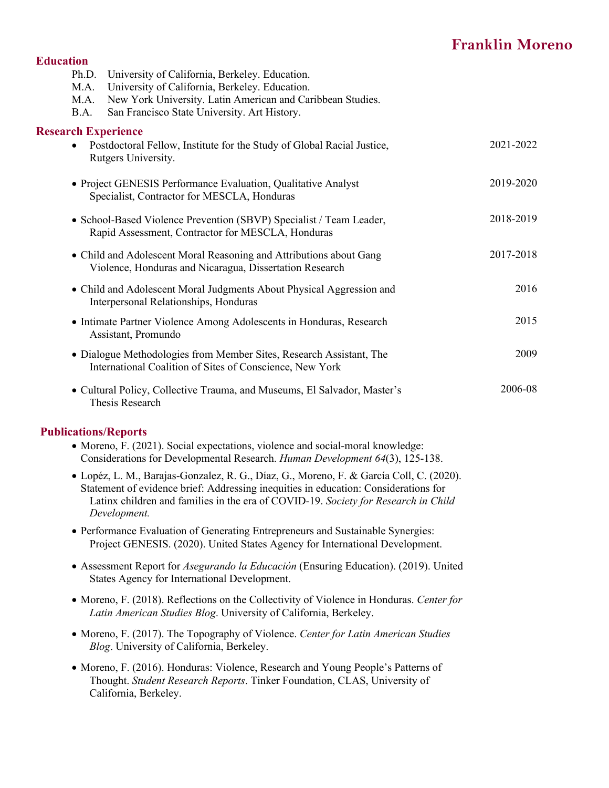# **Franklin Moreno**

#### **Education**

| M.A.<br>M.A.<br>B.A.       | Ph.D. University of California, Berkeley. Education.<br>University of California, Berkeley. Education.<br>New York University. Latin American and Caribbean Studies.<br>San Francisco State University. Art History. |           |
|----------------------------|----------------------------------------------------------------------------------------------------------------------------------------------------------------------------------------------------------------------|-----------|
| <b>Research Experience</b> |                                                                                                                                                                                                                      |           |
| $\bullet$                  | Postdoctoral Fellow, Institute for the Study of Global Racial Justice,<br>Rutgers University.                                                                                                                        | 2021-2022 |
|                            | • Project GENESIS Performance Evaluation, Qualitative Analyst<br>Specialist, Contractor for MESCLA, Honduras                                                                                                         | 2019-2020 |
|                            | • School-Based Violence Prevention (SBVP) Specialist / Team Leader,<br>Rapid Assessment, Contractor for MESCLA, Honduras                                                                                             | 2018-2019 |
|                            | • Child and Adolescent Moral Reasoning and Attributions about Gang<br>Violence, Honduras and Nicaragua, Dissertation Research                                                                                        | 2017-2018 |
|                            | • Child and Adolescent Moral Judgments About Physical Aggression and<br>Interpersonal Relationships, Honduras                                                                                                        | 2016      |
|                            | • Intimate Partner Violence Among Adolescents in Honduras, Research<br>Assistant, Promundo                                                                                                                           | 2015      |
|                            | • Dialogue Methodologies from Member Sites, Research Assistant, The<br>International Coalition of Sites of Conscience, New York                                                                                      | 2009      |
|                            | • Cultural Policy, Collective Trauma, and Museums, El Salvador, Master's<br>Thesis Research                                                                                                                          | 2006-08   |

## **Publications/Reports**

- Moreno, F. (2021). Social expectations, violence and social-moral knowledge: Considerations for Developmental Research. *Human Development 64*(3), 125-138.
- Lopéz, L. M., Barajas-Gonzalez, R. G., Díaz, G., Moreno, F. & García Coll, C. (2020). Statement of evidence brief: Addressing inequities in education: Considerations for Latinx children and families in the era of COVID-19. *Society for Research in Child Development.*
- Performance Evaluation of Generating Entrepreneurs and Sustainable Synergies: Project GENESIS. (2020). United States Agency for International Development.
- Assessment Report for *Asegurando la Educación* (Ensuring Education). (2019). United States Agency for International Development.
- Moreno, F. (2018). Reflections on the Collectivity of Violence in Honduras. *Center for Latin American Studies Blog*. University of California, Berkeley.
- Moreno, F. (2017). The Topography of Violence. *Center for Latin American Studies Blog*. University of California, Berkeley.
- Moreno, F. (2016). Honduras: Violence, Research and Young People's Patterns of Thought. *Student Research Reports*. Tinker Foundation, CLAS, University of California, Berkeley.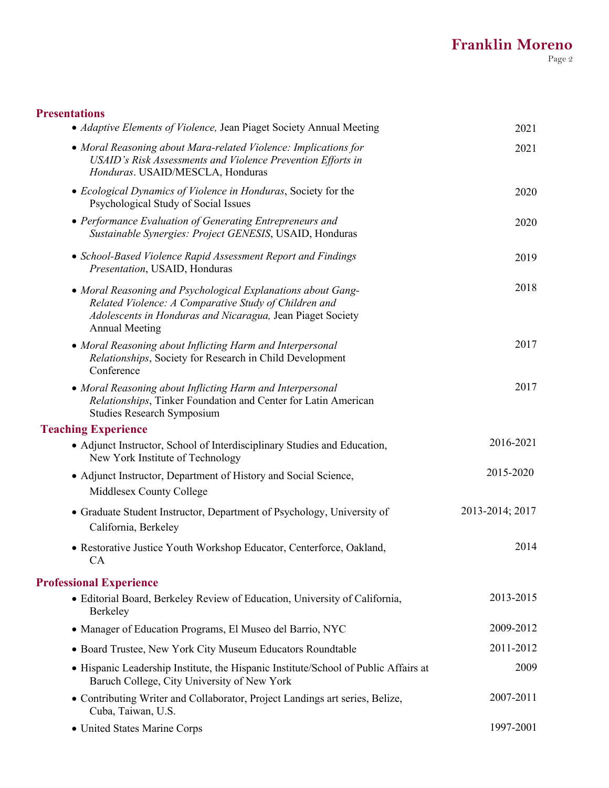# **Presentations**

| • Adaptive Elements of Violence, Jean Piaget Society Annual Meeting                                                                                                                                          | 2021            |
|--------------------------------------------------------------------------------------------------------------------------------------------------------------------------------------------------------------|-----------------|
| • Moral Reasoning about Mara-related Violence: Implications for<br>USAID's Risk Assessments and Violence Prevention Efforts in<br>Honduras. USAID/MESCLA, Honduras                                           | 2021            |
| • Ecological Dynamics of Violence in Honduras, Society for the<br>Psychological Study of Social Issues                                                                                                       | 2020            |
| • Performance Evaluation of Generating Entrepreneurs and<br>Sustainable Synergies: Project GENESIS, USAID, Honduras                                                                                          | 2020            |
| • School-Based Violence Rapid Assessment Report and Findings<br>Presentation, USAID, Honduras                                                                                                                | 2019            |
| • Moral Reasoning and Psychological Explanations about Gang-<br>Related Violence: A Comparative Study of Children and<br>Adolescents in Honduras and Nicaragua, Jean Piaget Society<br><b>Annual Meeting</b> | 2018            |
| • Moral Reasoning about Inflicting Harm and Interpersonal<br>Relationships, Society for Research in Child Development<br>Conference                                                                          | 2017            |
| • Moral Reasoning about Inflicting Harm and Interpersonal<br>Relationships, Tinker Foundation and Center for Latin American<br><b>Studies Research Symposium</b>                                             | 2017            |
| <b>Teaching Experience</b>                                                                                                                                                                                   |                 |
| • Adjunct Instructor, School of Interdisciplinary Studies and Education,<br>New York Institute of Technology                                                                                                 | 2016-2021       |
| • Adjunct Instructor, Department of History and Social Science,<br>Middlesex County College                                                                                                                  | 2015-2020       |
| • Graduate Student Instructor, Department of Psychology, University of<br>California, Berkeley                                                                                                               | 2013-2014; 2017 |
| • Restorative Justice Youth Workshop Educator, Centerforce, Oakland,<br><b>CA</b>                                                                                                                            | 2014            |
| <b>Professional Experience</b>                                                                                                                                                                               |                 |
| · Editorial Board, Berkeley Review of Education, University of California,<br>Berkeley                                                                                                                       | 2013-2015       |
| • Manager of Education Programs, El Museo del Barrio, NYC                                                                                                                                                    | 2009-2012       |
| • Board Trustee, New York City Museum Educators Roundtable                                                                                                                                                   | 2011-2012       |
| • Hispanic Leadership Institute, the Hispanic Institute/School of Public Affairs at<br>Baruch College, City University of New York                                                                           | 2009            |
| • Contributing Writer and Collaborator, Project Landings art series, Belize,<br>Cuba, Taiwan, U.S.                                                                                                           | 2007-2011       |
| • United States Marine Corps                                                                                                                                                                                 | 1997-2001       |